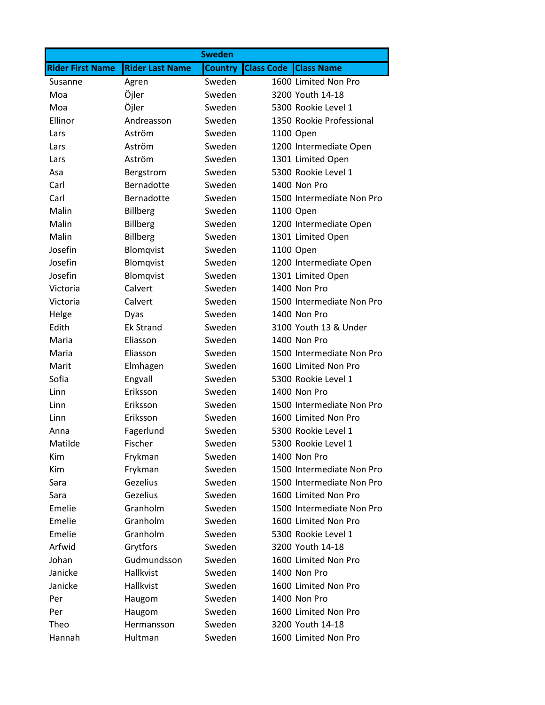|                         |                        | <b>Sweden</b>  |                                        |
|-------------------------|------------------------|----------------|----------------------------------------|
| <b>Rider First Name</b> | <b>Rider Last Name</b> | <b>Country</b> | <b>Class Code</b><br><b>Class Name</b> |
| Susanne                 | Agren                  | Sweden         | 1600 Limited Non Pro                   |
| Moa                     | Öjler                  | Sweden         | 3200 Youth 14-18                       |
| Moa                     | Öjler                  | Sweden         | 5300 Rookie Level 1                    |
| Ellinor                 | Andreasson             | Sweden         | 1350 Rookie Professional               |
| Lars                    | Aström                 | Sweden         | 1100 Open                              |
| Lars                    | Aström                 | Sweden         | 1200 Intermediate Open                 |
| Lars                    | Aström                 | Sweden         | 1301 Limited Open                      |
| Asa                     | Bergstrom              | Sweden         | 5300 Rookie Level 1                    |
| Carl                    | Bernadotte             | Sweden         | 1400 Non Pro                           |
| Carl                    | Bernadotte             | Sweden         | 1500 Intermediate Non Pro              |
| Malin                   | <b>Billberg</b>        | Sweden         | 1100 Open                              |
| Malin                   | <b>Billberg</b>        | Sweden         | 1200 Intermediate Open                 |
| Malin                   | <b>Billberg</b>        | Sweden         | 1301 Limited Open                      |
| Josefin                 | Blomqvist              | Sweden         | 1100 Open                              |
| Josefin                 | Blomqvist              | Sweden         | 1200 Intermediate Open                 |
| Josefin                 | Blomqvist              | Sweden         | 1301 Limited Open                      |
| Victoria                | Calvert                | Sweden         | 1400 Non Pro                           |
| Victoria                | Calvert                | Sweden         | 1500 Intermediate Non Pro              |
| Helge                   | Dyas                   | Sweden         | 1400 Non Pro                           |
| Edith                   | <b>Ek Strand</b>       | Sweden         | 3100 Youth 13 & Under                  |
| Maria                   | Eliasson               | Sweden         | 1400 Non Pro                           |
| Maria                   | Eliasson               | Sweden         | 1500 Intermediate Non Pro              |
| Marit                   | Elmhagen               | Sweden         | 1600 Limited Non Pro                   |
| Sofia                   | Engvall                | Sweden         | 5300 Rookie Level 1                    |
| Linn                    | Eriksson               | Sweden         | 1400 Non Pro                           |
| Linn                    | Eriksson               | Sweden         | 1500 Intermediate Non Pro              |
| Linn                    | Eriksson               | Sweden         | 1600 Limited Non Pro                   |
| Anna                    | Fagerlund              | Sweden         | 5300 Rookie Level 1                    |
| Matilde                 | Fischer                | Sweden         | 5300 Rookie Level 1                    |
| Kim                     | Frykman                | Sweden         | 1400 Non Pro                           |
| Kim                     | Frykman                | Sweden         | 1500 Intermediate Non Pro              |
| Sara                    | Gezelius               | Sweden         | 1500 Intermediate Non Pro              |
| Sara                    | Gezelius               | Sweden         | 1600 Limited Non Pro                   |
| Emelie                  | Granholm               | Sweden         | 1500 Intermediate Non Pro              |
| Emelie                  | Granholm               | Sweden         | 1600 Limited Non Pro                   |
| Emelie                  | Granholm               | Sweden         | 5300 Rookie Level 1                    |
| Arfwid                  | Grytfors               | Sweden         | 3200 Youth 14-18                       |
| Johan                   | Gudmundsson            | Sweden         | 1600 Limited Non Pro                   |
| Janicke                 | Hallkvist              | Sweden         | 1400 Non Pro                           |
| Janicke                 | Hallkvist              | Sweden         | 1600 Limited Non Pro                   |
| Per                     | Haugom                 | Sweden         | 1400 Non Pro                           |
| Per                     | Haugom                 | Sweden         | 1600 Limited Non Pro                   |
| Theo                    | Hermansson             | Sweden         | 3200 Youth 14-18                       |
| Hannah                  | Hultman                | Sweden         | 1600 Limited Non Pro                   |